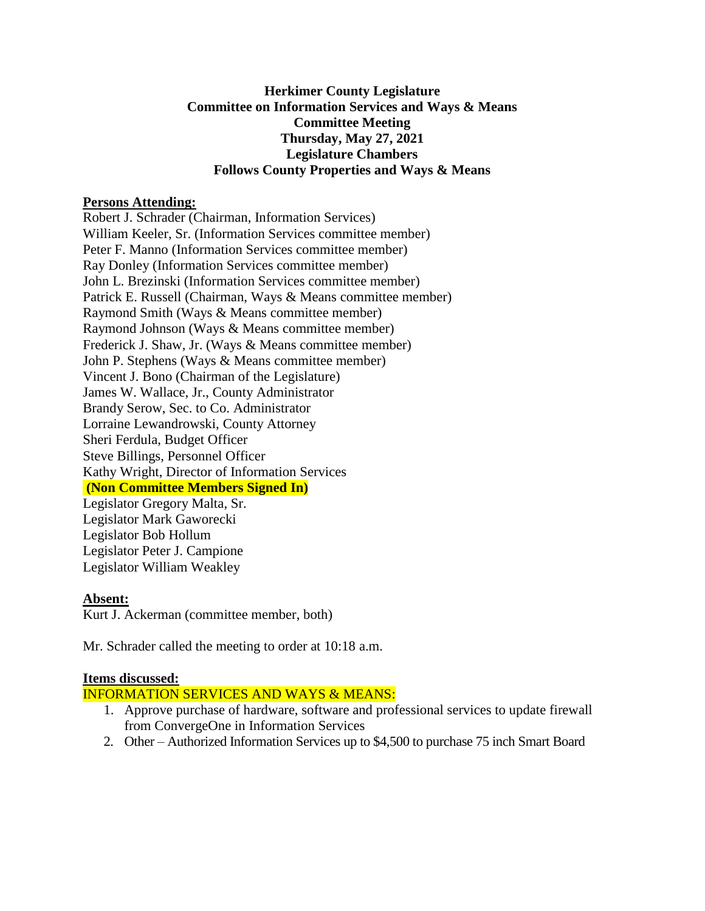#### **Herkimer County Legislature Committee on Information Services and Ways & Means Committee Meeting Thursday, May 27, 2021 Legislature Chambers Follows County Properties and Ways & Means**

#### **Persons Attending:**

Robert J. Schrader (Chairman, Information Services) William Keeler, Sr. (Information Services committee member) Peter F. Manno (Information Services committee member) Ray Donley (Information Services committee member) John L. Brezinski (Information Services committee member) Patrick E. Russell (Chairman, Ways & Means committee member) Raymond Smith (Ways & Means committee member) Raymond Johnson (Ways & Means committee member) Frederick J. Shaw, Jr. (Ways & Means committee member) John P. Stephens (Ways & Means committee member) Vincent J. Bono (Chairman of the Legislature) James W. Wallace, Jr., County Administrator Brandy Serow, Sec. to Co. Administrator Lorraine Lewandrowski, County Attorney Sheri Ferdula, Budget Officer Steve Billings, Personnel Officer Kathy Wright, Director of Information Services **(Non Committee Members Signed In)** Legislator Gregory Malta, Sr.

Legislator Mark Gaworecki Legislator Bob Hollum Legislator Peter J. Campione Legislator William Weakley

#### **Absent:**

Kurt J. Ackerman (committee member, both)

Mr. Schrader called the meeting to order at 10:18 a.m.

## **Items discussed:**

INFORMATION SERVICES AND WAYS & MEANS:

- 1. Approve purchase of hardware, software and professional services to update firewall from ConvergeOne in Information Services
- 2. Other Authorized Information Services up to \$4,500 to purchase 75 inch Smart Board